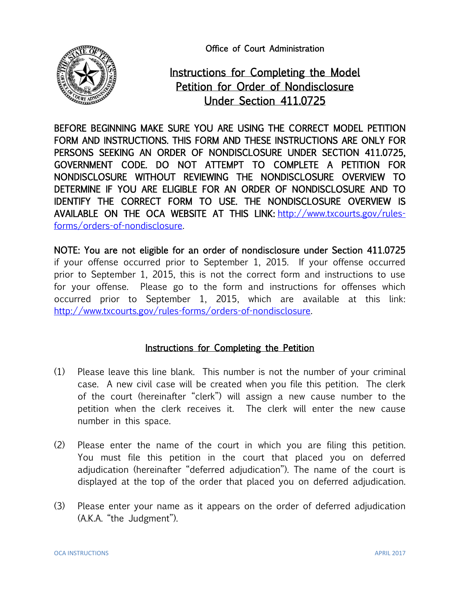Office of Court Administration



## Instructions for Completing the Model Petition for Order of Nondisclosure Under Section 411.0725

BEFORE BEGINNING MAKE SURE YOU ARE USING THE CORRECT MODEL PETITION FORM AND INSTRUCTIONS. THIS FORM AND THESE INSTRUCTIONS ARE ONLY FOR PERSONS SEEKING AN ORDER OF NONDISCLOSURE UNDER SECTION 411.0725, GOVERNMENT CODE. DO NOT ATTEMPT TO COMPLETE A PETITION FOR NONDISCLOSURE WITHOUT REVIEWING THE NONDISCLOSURE OVERVIEW TO DETERMINE IF YOU ARE ELIGIBLE FOR AN ORDER OF NONDISCLOSURE AND TO IDENTIFY THE CORRECT FORM TO USE. THE NONDISCLOSURE OVERVIEW IS AVAILABLE ON THE OCA WEBSITE AT THIS LINK: [http://www.txcourts.gov/rules](http://www.txcourts.gov/rules-forms/orders-of-nondisclosure)[forms/orders-of-nondisclosure.](http://www.txcourts.gov/rules-forms/orders-of-nondisclosure)

NOTE: You are not eligible for an order of nondisclosure under Section 411.0725 if your offense occurred prior to September 1, 2015. If your offense occurred prior to September 1, 2015, this is not the correct form and instructions to use for your offense. Please go to the form and instructions for offenses which occurred prior to September 1, 2015, which are available at this link: [http://www.txcourts.gov/rules-forms/orders-of-nondisclosure.](http://www.txcourts.gov/rules-forms/orders-of-nondisclosure) 

## Instructions for Completing the Petition

- (1) Please leave this line blank. This number is not the number of your criminal case. A new civil case will be created when you file this petition. The clerk of the court (hereinafter "clerk") will assign a new cause number to the petition when the clerk receives it. The clerk will enter the new cause number in this space.
- (2) Please enter the name of the court in which you are filing this petition. You must file this petition in the court that placed you on deferred adjudication (hereinafter "deferred adjudication"). The name of the court is displayed at the top of the order that placed you on deferred adjudication.
- (3) Please enter your name as it appears on the order of deferred adjudication (A.K.A. "the Judgment").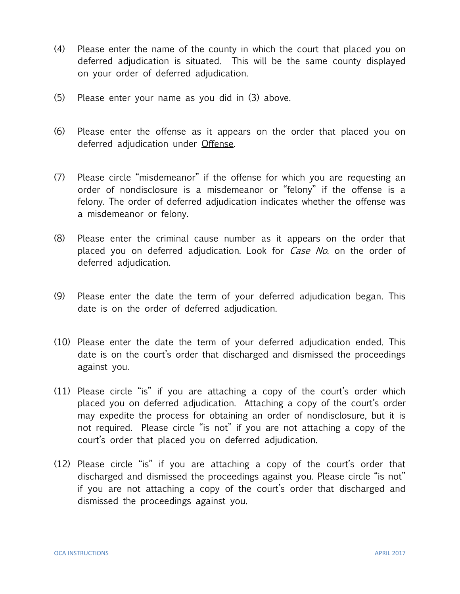- (4) Please enter the name of the county in which the court that placed you on deferred adjudication is situated. This will be the same county displayed on your order of deferred adjudication.
- (5) Please enter your name as you did in (3) above.
- (6) Please enter the offense as it appears on the order that placed you on deferred adjudication under Offense.
- (7) Please circle "misdemeanor" if the offense for which you are requesting an order of nondisclosure is a misdemeanor or "felony" if the offense is a felony. The order of deferred adjudication indicates whether the offense was a misdemeanor or felony.
- (8) Please enter the criminal cause number as it appears on the order that placed you on deferred adjudication. Look for *Case No*. on the order of deferred adjudication.
- (9) Please enter the date the term of your deferred adjudication began. This date is on the order of deferred adjudication.
- (10) Please enter the date the term of your deferred adjudication ended. This date is on the court's order that discharged and dismissed the proceedings against you.
- (11) Please circle "is" if you are attaching a copy of the court's order which placed you on deferred adjudication. Attaching a copy of the court's order may expedite the process for obtaining an order of nondisclosure, but it is not required. Please circle "is not" if you are not attaching a copy of the court's order that placed you on deferred adjudication.
- (12) Please circle "is" if you are attaching a copy of the court's order that discharged and dismissed the proceedings against you. Please circle "is not" if you are not attaching a copy of the court's order that discharged and dismissed the proceedings against you.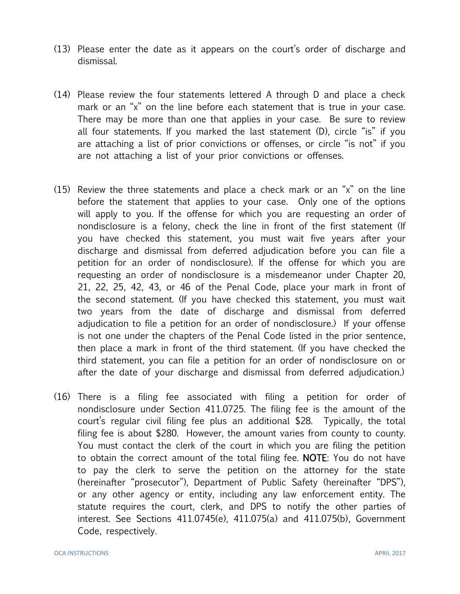- (13) Please enter the date as it appears on the court's order of discharge and dismissal.
- (14) Please review the four statements lettered A through D and place a check mark or an "x" on the line before each statement that is true in your case. There may be more than one that applies in your case. Be sure to review all four statements. If you marked the last statement (D), circle "is" if you are attaching a list of prior convictions or offenses, or circle "is not" if you are not attaching a list of your prior convictions or offenses.
- (15) Review the three statements and place a check mark or an "x" on the line before the statement that applies to your case. Only one of the options will apply to you. If the offense for which you are requesting an order of nondisclosure is a felony, check the line in front of the first statement (If you have checked this statement, you must wait five years after your discharge and dismissal from deferred adjudication before you can file a petition for an order of nondisclosure). If the offense for which you are requesting an order of nondisclosure is a misdemeanor under Chapter 20, 21, 22, 25, 42, 43, or 46 of the Penal Code, place your mark in front of the second statement. (If you have checked this statement, you must wait two years from the date of discharge and dismissal from deferred adjudication to file a petition for an order of nondisclosure.) If your offense is not one under the chapters of the Penal Code listed in the prior sentence, then place a mark in front of the third statement. (If you have checked the third statement, you can file a petition for an order of nondisclosure on or after the date of your discharge and dismissal from deferred adjudication.)
- (16) There is a filing fee associated with filing a petition for order of nondisclosure under Section 411.0725. The filing fee is the amount of the court's regular civil filing fee plus an additional \$28. Typically, the total filing fee is about \$280. However, the amount varies from county to county. You must contact the clerk of the court in which you are filing the petition to obtain the correct amount of the total filing fee. NOTE: You do not have to pay the clerk to serve the petition on the attorney for the state (hereinafter "prosecutor"), Department of Public Safety (hereinafter "DPS"), or any other agency or entity, including any law enforcement entity. The statute requires the court, clerk, and DPS to notify the other parties of interest. See Sections 411.0745(e), 411.075(a) and 411.075(b), Government Code, respectively.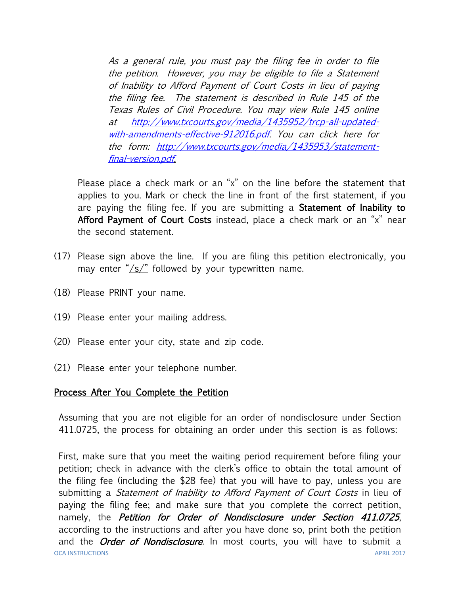As a general rule, you must pay the filing fee in order to file the petition. However, you may be eligible to file a Statement of Inability to Afford Payment of Court Costs in lieu of paying the filing fee. The statement is described in Rule 145 of the Texas Rules of Civil Procedure. You may view Rule 145 online at [http://www.txcourts.gov/media/1435952/trcp-all-updated](http://www.txcourts.gov/media/1435952/trcp-all-updated-with-amendments-effective-912016.pdf)[with-amendments-effective-912016.pdf.](http://www.txcourts.gov/media/1435952/trcp-all-updated-with-amendments-effective-912016.pdf) You can click here for the form: [http://www.txcourts.gov/media/1435953/statement](http://www.txcourts.gov/media/1435953/statement-final-version.pdf)[final-version.pdf.](http://www.txcourts.gov/media/1435953/statement-final-version.pdf)

Please place a check mark or an "x" on the line before the statement that applies to you. Mark or check the line in front of the first statement, if you are paying the filing fee. If you are submitting a **Statement of Inability to** Afford Payment of Court Costs instead, place a check mark or an "x" near the second statement.

- (17) Please sign above the line. If you are filing this petition electronically, you may enter " $\sqrt{s}$ " followed by your typewritten name.
- (18) Please PRINT your name.
- (19) Please enter your mailing address.
- (20) Please enter your city, state and zip code.
- (21) Please enter your telephone number.

## Process After You Complete the Petition

Assuming that you are not eligible for an order of nondisclosure under Section 411.0725, the process for obtaining an order under this section is as follows:

OCA INSTRUCTIONS APRIL 2017 First, make sure that you meet the waiting period requirement before filing your petition; check in advance with the clerk's office to obtain the total amount of the filing fee (including the \$28 fee) that you will have to pay, unless you are submitting a *Statement of Inability to Afford Payment of Court Costs* in lieu of paying the filing fee; and make sure that you complete the correct petition, namely, the *Petition for Order of Nondisclosure under Section 411.0725*, according to the instructions and after you have done so, print both the petition and the *Order of Nondisclosure*. In most courts, you will have to submit a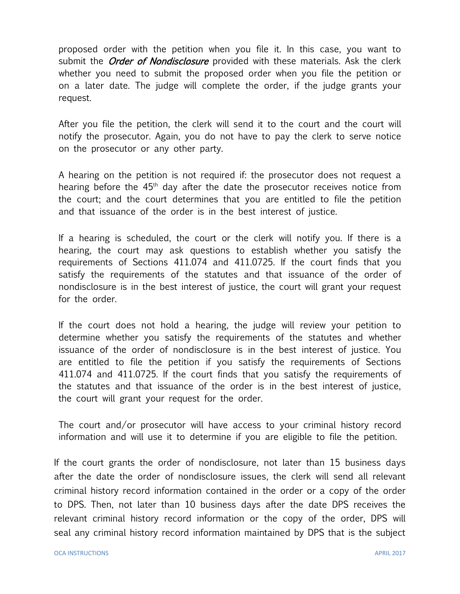proposed order with the petition when you file it. In this case, you want to submit the *Order of Nondisclosure* provided with these materials. Ask the clerk whether you need to submit the proposed order when you file the petition or on a later date. The judge will complete the order, if the judge grants your request.

After you file the petition, the clerk will send it to the court and the court will notify the prosecutor. Again, you do not have to pay the clerk to serve notice on the prosecutor or any other party.

A hearing on the petition is not required if: the prosecutor does not request a hearing before the 45<sup>th</sup> day after the date the prosecutor receives notice from the court; and the court determines that you are entitled to file the petition and that issuance of the order is in the best interest of justice.

If a hearing is scheduled, the court or the clerk will notify you. If there is a hearing, the court may ask questions to establish whether you satisfy the requirements of Sections 411.074 and 411.0725. If the court finds that you satisfy the requirements of the statutes and that issuance of the order of nondisclosure is in the best interest of justice, the court will grant your request for the order.

If the court does not hold a hearing, the judge will review your petition to determine whether you satisfy the requirements of the statutes and whether issuance of the order of nondisclosure is in the best interest of justice. You are entitled to file the petition if you satisfy the requirements of Sections 411.074 and 411.0725. If the court finds that you satisfy the requirements of the statutes and that issuance of the order is in the best interest of justice, the court will grant your request for the order.

The court and/or prosecutor will have access to your criminal history record information and will use it to determine if you are eligible to file the petition.

If the court grants the order of nondisclosure, not later than 15 business days after the date the order of nondisclosure issues, the clerk will send all relevant criminal history record information contained in the order or a copy of the order to DPS. Then, not later than 10 business days after the date DPS receives the relevant criminal history record information or the copy of the order, DPS will seal any criminal history record information maintained by DPS that is the subject